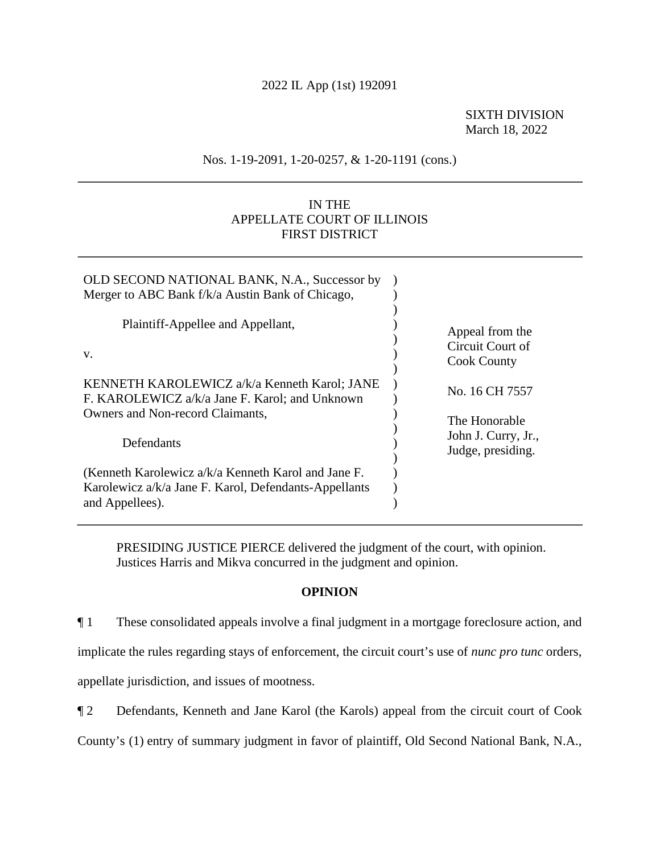## 2022 IL App (1st) 192091

## SIXTH DIVISION March 18, 2022

## Nos. 1-19-2091, 1-20-0257, & 1-20-1191 (cons.)

# IN THE APPELLATE COURT OF ILLINOIS FIRST DISTRICT

| OLD SECOND NATIONAL BANK, N.A., Successor by<br>Merger to ABC Bank f/k/a Austin Bank of Chicago,                                   |                                                           |
|------------------------------------------------------------------------------------------------------------------------------------|-----------------------------------------------------------|
| Plaintiff-Appellee and Appellant,<br>V.                                                                                            | Appeal from the<br>Circuit Court of<br><b>Cook County</b> |
| KENNETH KAROLEWICZ a/k/a Kenneth Karol; JANE<br>F. KAROLEWICZ a/k/a Jane F. Karol; and Unknown<br>Owners and Non-record Claimants, | No. 16 CH 7557                                            |
| Defendants                                                                                                                         | The Honorable<br>John J. Curry, Jr.,<br>Judge, presiding. |
| (Kenneth Karolewicz a/k/a Kenneth Karol and Jane F.<br>Karolewicz a/k/a Jane F. Karol, Defendants-Appellants<br>and Appellees).    |                                                           |

PRESIDING JUSTICE PIERCE delivered the judgment of the court, with opinion. Justices Harris and Mikva concurred in the judgment and opinion.

### **OPINION**

¶ 1 These consolidated appeals involve a final judgment in a mortgage foreclosure action, and

implicate the rules regarding stays of enforcement, the circuit court's use of *nunc pro tunc* orders,

appellate jurisdiction, and issues of mootness.

¶ 2 Defendants, Kenneth and Jane Karol (the Karols) appeal from the circuit court of Cook

County's (1) entry of summary judgment in favor of plaintiff, Old Second National Bank, N.A.,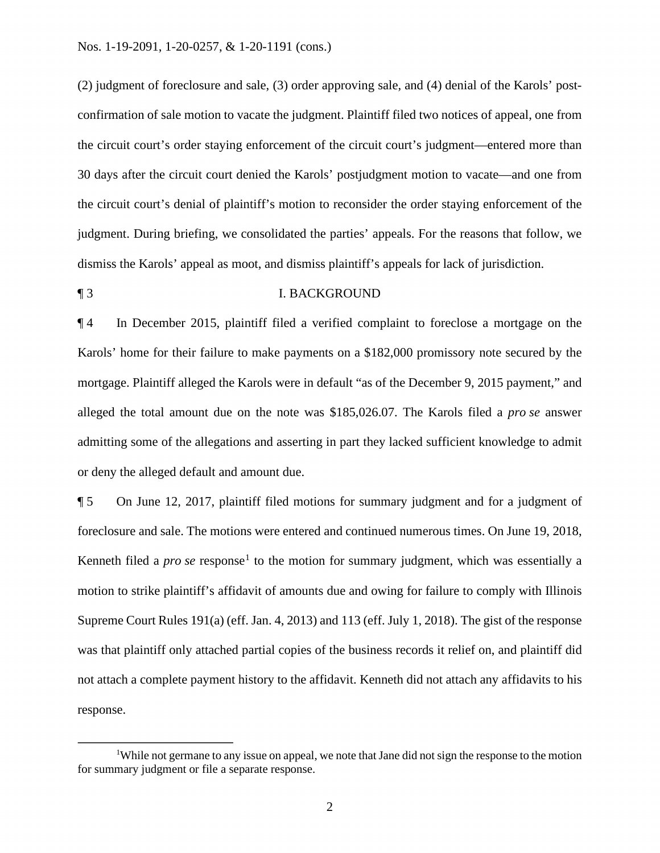confirmation of sale motion to vacate the judgment. Plaintiff filed two notices of appeal, one from the circuit court's denial of plaintiff's motion to reconsider the order staying enforcement of the (2) judgment of foreclosure and sale, (3) order approving sale, and (4) denial of the Karols' postthe circuit court's order staying enforcement of the circuit court's judgment—entered more than 30 days after the circuit court denied the Karols' postjudgment motion to vacate—and one from judgment. During briefing, we consolidated the parties' appeals. For the reasons that follow, we dismiss the Karols' appeal as moot, and dismiss plaintiff's appeals for lack of jurisdiction.

## ¶ 3 I. BACKGROUND

 alleged the total amount due on the note was [\\$185,026.07](https://185,026.07). The Karols filed a *pro se* answer ¶ 4 In December 2015, plaintiff filed a verified complaint to foreclose a mortgage on the Karols' home for their failure to make payments on a \$182,000 promissory note secured by the mortgage. Plaintiff alleged the Karols were in default "as of the December 9, 2015 payment," and admitting some of the allegations and asserting in part they lacked sufficient knowledge to admit or deny the alleged default and amount due.

Kenneth filed a *pro se* response<sup>1</sup> to the motion for summary judgment, which was essentially a ¶ 5 On June 12, 2017, plaintiff filed motions for summary judgment and for a judgment of foreclosure and sale. The motions were entered and continued numerous times. On June 19, 2018, motion to strike plaintiff's affidavit of amounts due and owing for failure to comply with Illinois Supreme Court Rules 191(a) (eff. Jan. 4, 2013) and 113 (eff. July 1, 2018). The gist of the response was that plaintiff only attached partial copies of the business records it relief on, and plaintiff did not attach a complete payment history to the affidavit. Kenneth did not attach any affidavits to his response.

<sup>&</sup>lt;sup>1</sup>While not germane to any issue on appeal, we note that Jane did not sign the response to the motion for summary judgment or file a separate response.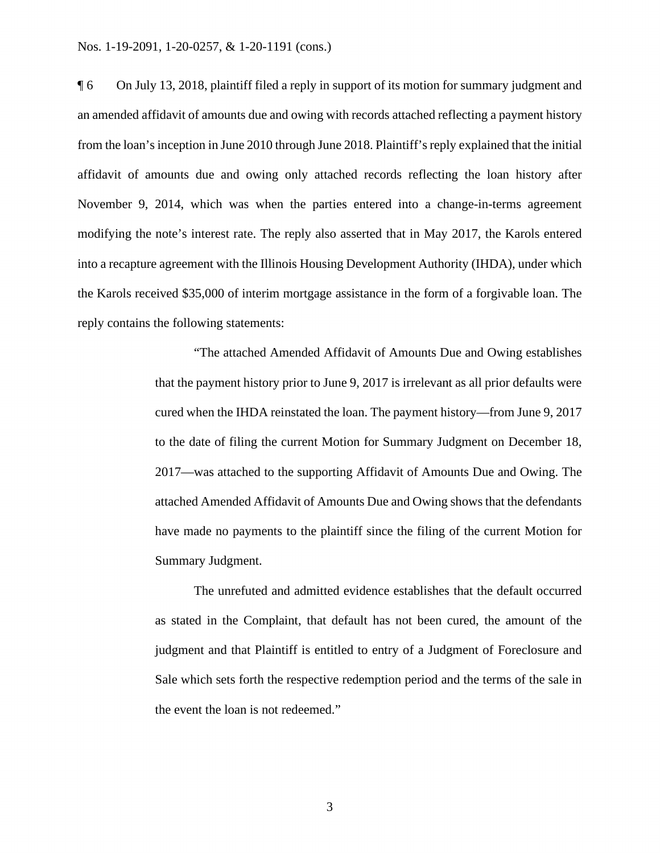#### Nos. 1-19-2091, 1-20-0257, & 1-20-1191 (cons.)

 the Karols received \$35,000 of interim mortgage assistance in the form of a forgivable loan. The ¶ 6 On July 13, 2018, plaintiff filed a reply in support of its motion for summary judgment and an amended affidavit of amounts due and owing with records attached reflecting a payment history from the loan's inception in June 2010 through June 2018. Plaintiff's reply explained that the initial affidavit of amounts due and owing only attached records reflecting the loan history after November 9, 2014, which was when the parties entered into a change-in-terms agreement modifying the note's interest rate. The reply also asserted that in May 2017, the Karols entered into a recapture agreement with the Illinois Housing Development Authority (IHDA), under which reply contains the following statements:

> "The attached Amended Affidavit of Amounts Due and Owing establishes that the payment history prior to June 9, 2017 is irrelevant as all prior defaults were cured when the IHDA reinstated the loan. The payment history—from June 9, 2017 to the date of filing the current Motion for Summary Judgment on December 18, 2017—was attached to the supporting Affidavit of Amounts Due and Owing. The attached Amended Affidavit of Amounts Due and Owing shows that the defendants have made no payments to the plaintiff since the filing of the current Motion for Summary Judgment.

> The unrefuted and admitted evidence establishes that the default occurred as stated in the Complaint, that default has not been cured, the amount of the judgment and that Plaintiff is entitled to entry of a Judgment of Foreclosure and Sale which sets forth the respective redemption period and the terms of the sale in the event the loan is not redeemed."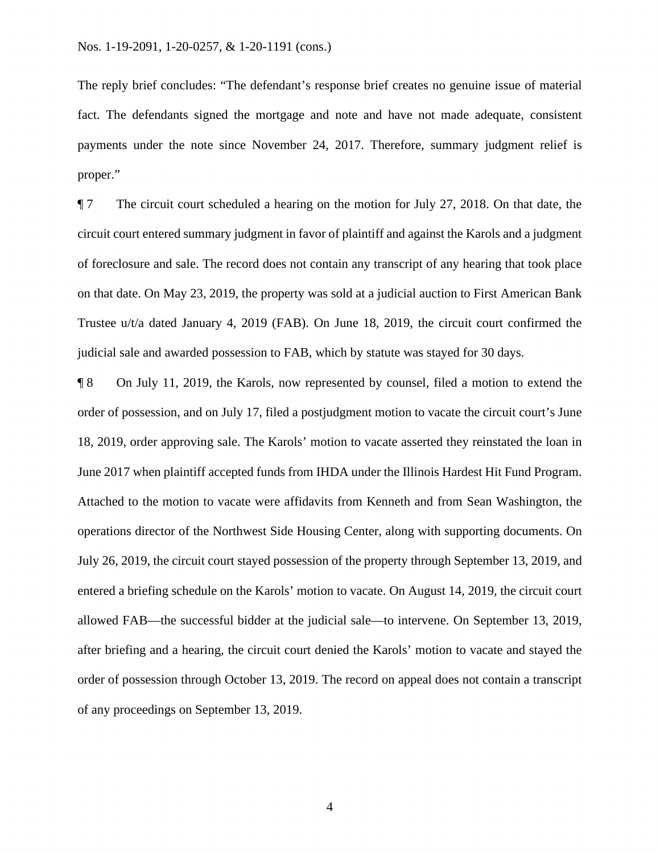The reply brief concludes: "The defendant's response brief creates no genuine issue of material fact. The defendants signed the mortgage and note and have not made adequate, consistent payments under the note since November 24, 2017. Therefore, summary judgment relief is proper."

 Trustee u/t/a dated January 4, 2019 (FAB). On June 18, 2019, the circuit court confirmed the ¶ 7 The circuit court scheduled a hearing on the motion for July 27, 2018. On that date, the circuit court entered summary judgment in favor of plaintiff and against the Karols and a judgment of foreclosure and sale. The record does not contain any transcript of any hearing that took place on that date. On May 23, 2019, the property was sold at a judicial auction to First American Bank judicial sale and awarded possession to FAB, which by statute was stayed for 30 days.

 order of possession, and on July 17, filed a postjudgment motion to vacate the circuit court's June entered a briefing schedule on the Karols' motion to vacate. On August 14, 2019, the circuit court ¶ 8 On July 11, 2019, the Karols, now represented by counsel, filed a motion to extend the 18, 2019, order approving sale. The Karols' motion to vacate asserted they reinstated the loan in June 2017 when plaintiff accepted funds from IHDA under the Illinois Hardest Hit Fund Program. Attached to the motion to vacate were affidavits from Kenneth and from Sean Washington, the operations director of the Northwest Side Housing Center, along with supporting documents. On July 26, 2019, the circuit court stayed possession of the property through September 13, 2019, and allowed FAB—the successful bidder at the judicial sale—to intervene. On September 13, 2019, after briefing and a hearing, the circuit court denied the Karols' motion to vacate and stayed the order of possession through October 13, 2019. The record on appeal does not contain a transcript of any proceedings on September 13, 2019.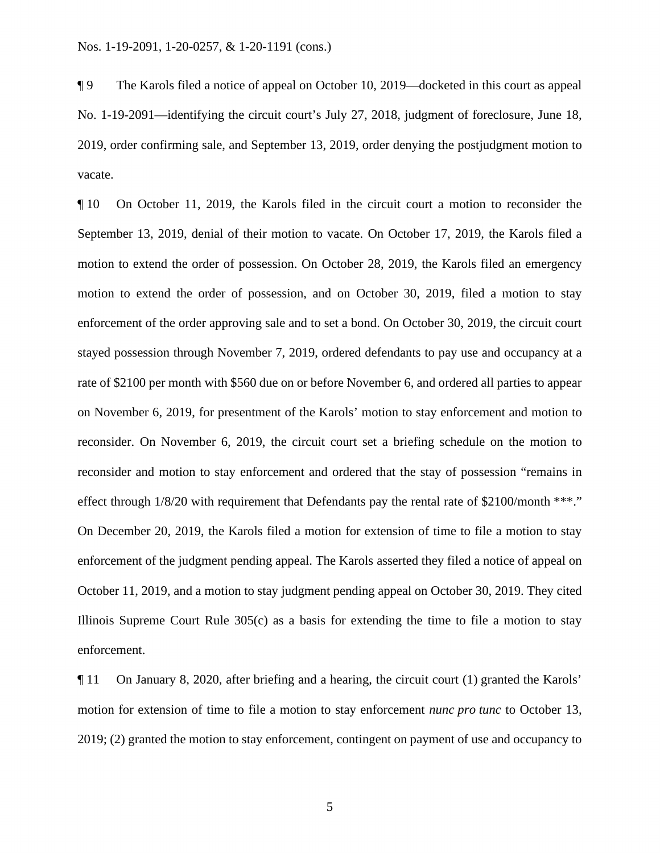¶ 9 The Karols filed a notice of appeal on October 10, 2019—docketed in this court as appeal No. 1-19-2091—identifying the circuit court's July 27, 2018, judgment of foreclosure, June 18, 2019, order confirming sale, and September 13, 2019, order denying the postjudgment motion to vacate.

 Illinois Supreme Court Rule 305(c) as a basis for extending the time to file a motion to stay enforcement. ¶ 10 On October 11, 2019, the Karols filed in the circuit court a motion to reconsider the September 13, 2019, denial of their motion to vacate. On October 17, 2019, the Karols filed a motion to extend the order of possession. On October 28, 2019, the Karols filed an emergency motion to extend the order of possession, and on October 30, 2019, filed a motion to stay enforcement of the order approving sale and to set a bond. On October 30, 2019, the circuit court stayed possession through November 7, 2019, ordered defendants to pay use and occupancy at a rate of \$2100 per month with \$560 due on or before November 6, and ordered all parties to appear on November 6, 2019, for presentment of the Karols' motion to stay enforcement and motion to reconsider. On November 6, 2019, the circuit court set a briefing schedule on the motion to reconsider and motion to stay enforcement and ordered that the stay of possession "remains in effect through  $1/8/20$  with requirement that Defendants pay the rental rate of \$2100/month \*\*\*." On December 20, 2019, the Karols filed a motion for extension of time to file a motion to stay enforcement of the judgment pending appeal. The Karols asserted they filed a notice of appeal on October 11, 2019, and a motion to stay judgment pending appeal on October 30, 2019. They cited

 $\llbracket$  11 On January 8, 2020, after briefing and a hearing, the circuit court (1) granted the Karols' motion for extension of time to file a motion to stay enforcement *nunc pro tunc* to October 13, 2019; (2) granted the motion to stay enforcement, contingent on payment of use and occupancy to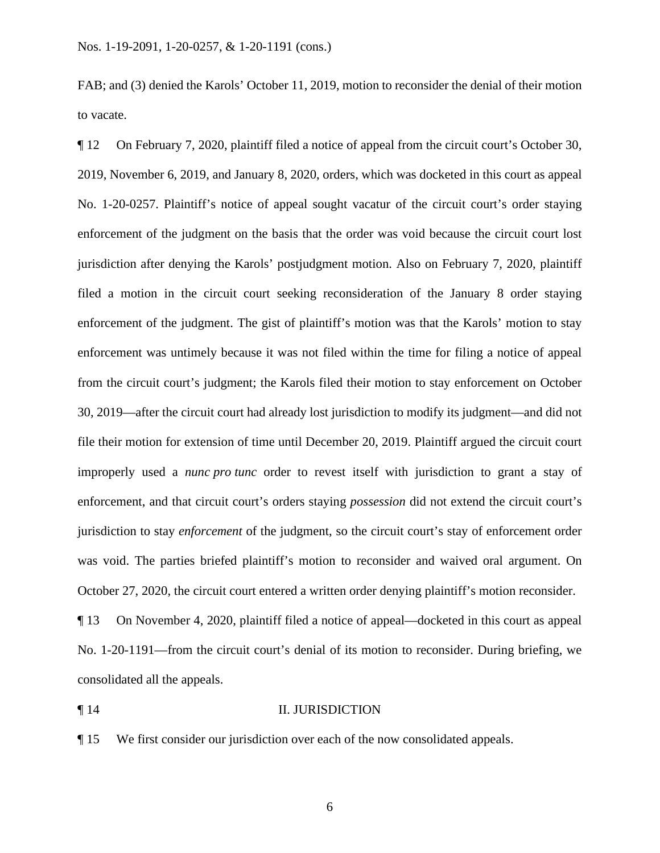FAB; and (3) denied the Karols' October 11, 2019, motion to reconsider the denial of their motion to vacate.

 ¶ 12 On February 7, 2020, plaintiff filed a notice of appeal from the circuit court's October 30, enforcement of the judgment on the basis that the order was void because the circuit court lost 2019, November 6, 2019, and January 8, 2020, orders, which was docketed in this court as appeal No. 1-20-0257. Plaintiff's notice of appeal sought vacatur of the circuit court's order staying jurisdiction after denying the Karols' postjudgment motion. Also on February 7, 2020, plaintiff filed a motion in the circuit court seeking reconsideration of the January 8 order staying enforcement of the judgment. The gist of plaintiff's motion was that the Karols' motion to stay enforcement was untimely because it was not filed within the time for filing a notice of appeal from the circuit court's judgment; the Karols filed their motion to stay enforcement on October 30, 2019—after the circuit court had already lost jurisdiction to modify its judgment—and did not file their motion for extension of time until December 20, 2019. Plaintiff argued the circuit court improperly used a *nunc pro tunc* order to revest itself with jurisdiction to grant a stay of enforcement, and that circuit court's orders staying *possession* did not extend the circuit court's jurisdiction to stay *enforcement* of the judgment, so the circuit court's stay of enforcement order was void. The parties briefed plaintiff's motion to reconsider and waived oral argument. On October 27, 2020, the circuit court entered a written order denying plaintiff's motion reconsider.

¶ 13 On November 4, 2020, plaintiff filed a notice of appeal—docketed in this court as appeal No. 1-20-1191—from the circuit court's denial of its motion to reconsider. During briefing, we consolidated all the appeals.

#### **Text** 14 **II. JURISDICTION**

¶ 15 We first consider our jurisdiction over each of the now consolidated appeals.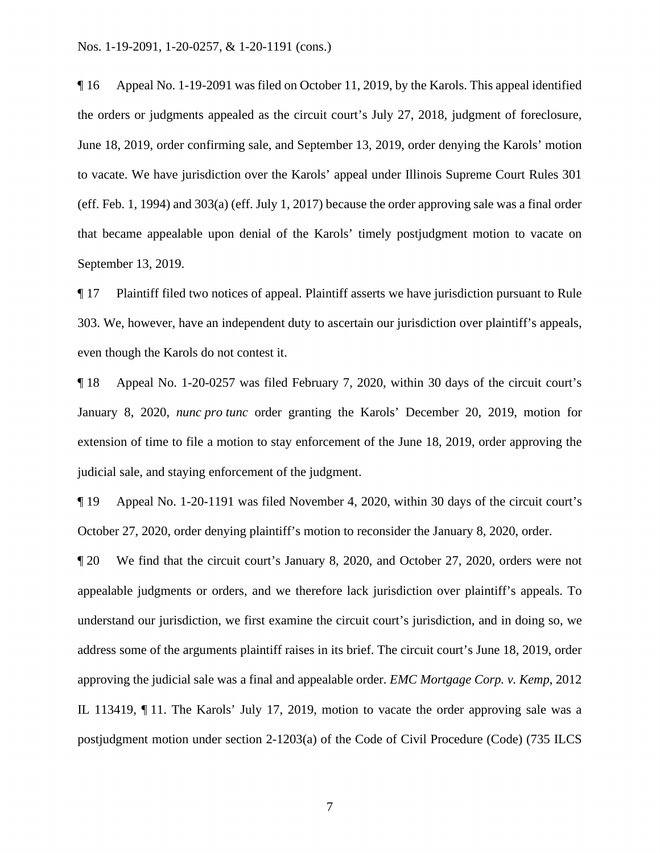the orders or judgments appealed as the circuit court's July 27, 2018, judgment of foreclosure, to vacate. We have jurisdiction over the Karols' appeal under Illinois Supreme Court Rules 301 that became appealable upon denial of the Karols' timely postjudgment motion to vacate on ¶ 16 Appeal No. 1-19-2091 was filed on October 11, 2019, by the Karols. This appeal identified June 18, 2019, order confirming sale, and September 13, 2019, order denying the Karols' motion (eff. Feb. 1, 1994) and 303(a) (eff. July 1, 2017) because the order approving sale was a final order September 13, 2019.

¶ 17 Plaintiff filed two notices of appeal. Plaintiff asserts we have jurisdiction pursuant to Rule 303. We, however, have an independent duty to ascertain our jurisdiction over plaintiff's appeals, even though the Karols do not contest it.

¶ 18 Appeal No. 1-20-0257 was filed February 7, 2020, within 30 days of the circuit court's January 8, 2020, *nunc pro tunc* order granting the Karols' December 20, 2019, motion for extension of time to file a motion to stay enforcement of the June 18, 2019, order approving the judicial sale, and staying enforcement of the judgment.

¶ 19 Appeal No. 1-20-1191 was filed November 4, 2020, within 30 days of the circuit court's October 27, 2020, order denying plaintiff's motion to reconsider the January 8, 2020, order.

 ¶ 20 We find that the circuit court's January 8, 2020, and October 27, 2020, orders were not appealable judgments or orders, and we therefore lack jurisdiction over plaintiff's appeals. To understand our jurisdiction, we first examine the circuit court's jurisdiction, and in doing so, we address some of the arguments plaintiff raises in its brief. The circuit court's June 18, 2019, order approving the judicial sale was a final and appealable order. *EMC Mortgage Corp. v. Kemp*, 2012 IL 113419, ¶ 11. The Karols' July 17, 2019, motion to vacate the order approving sale was a postjudgment motion under section 2-1203(a) of the Code of Civil Procedure (Code) (735 ILCS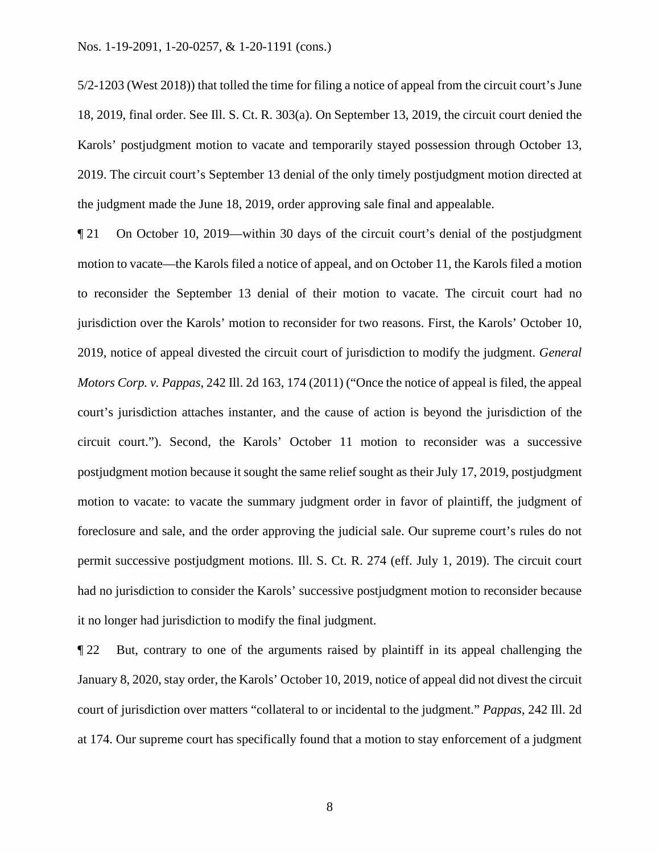Karols' postjudgment motion to vacate and temporarily stayed possession through October 13, 5/2-1203 (West 2018)) that tolled the time for filing a notice of appeal from the circuit court's June 18, 2019, final order. See Ill. S. Ct. R. 303(a). On September 13, 2019, the circuit court denied the 2019. The circuit court's September 13 denial of the only timely postjudgment motion directed at the judgment made the June 18, 2019, order approving sale final and appealable.

 jurisdiction over the Karols' motion to reconsider for two reasons. First, the Karols' October 10, ¶ 21 On October 10, 2019—within 30 days of the circuit court's denial of the postjudgment motion to vacate—the Karols filed a notice of appeal, and on October 11, the Karols filed a motion to reconsider the September 13 denial of their motion to vacate. The circuit court had no 2019, notice of appeal divested the circuit court of jurisdiction to modify the judgment. *General Motors Corp. v. Pappas*, 242 Ill. 2d 163, 174 (2011) ("Once the notice of appeal is filed, the appeal court's jurisdiction attaches instanter, and the cause of action is beyond the jurisdiction of the circuit court."). Second, the Karols' October 11 motion to reconsider was a successive postjudgment motion because it sought the same relief sought as their July 17, 2019, postjudgment motion to vacate: to vacate the summary judgment order in favor of plaintiff, the judgment of foreclosure and sale, and the order approving the judicial sale. Our supreme court's rules do not permit successive postjudgment motions. Ill. S. Ct. R. 274 (eff. July 1, 2019). The circuit court had no jurisdiction to consider the Karols' successive postjudgment motion to reconsider because it no longer had jurisdiction to modify the final judgment.

 January 8, 2020, stay order, the Karols' October 10, 2019, notice of appeal did not divest the circuit ¶ 22 But, contrary to one of the arguments raised by plaintiff in its appeal challenging the court of jurisdiction over matters "collateral to or incidental to the judgment." *Pappas*, 242 Ill. 2d at 174. Our supreme court has specifically found that a motion to stay enforcement of a judgment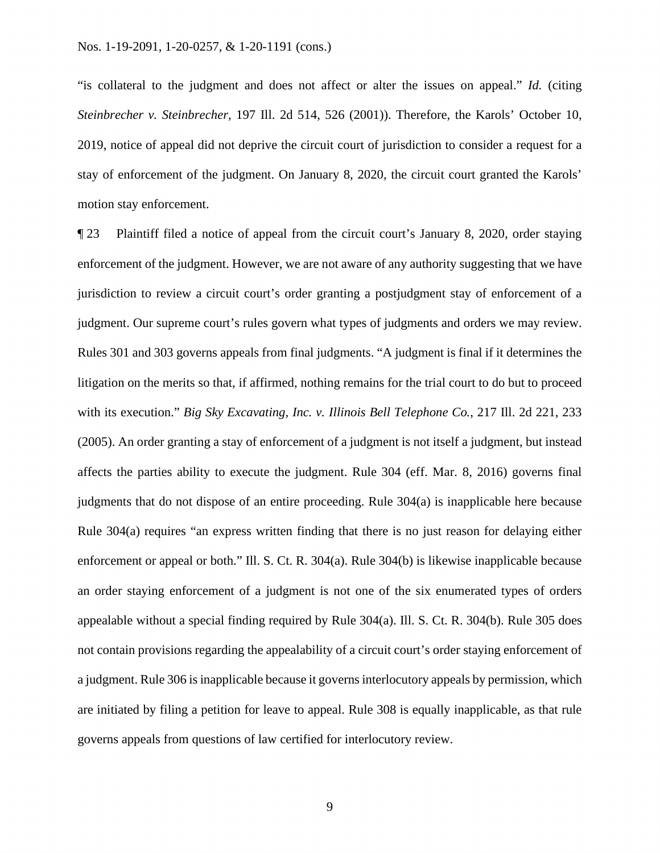2019, notice of appeal did not deprive the circuit court of jurisdiction to consider a request for a "is collateral to the judgment and does not affect or alter the issues on appeal." *Id.* (citing *Steinbrecher v. Steinbrecher*, 197 Ill. 2d 514, 526 (2001)). Therefore, the Karols' October 10, stay of enforcement of the judgment. On January 8, 2020, the circuit court granted the Karols' motion stay enforcement.

 ¶ 23 Plaintiff filed a notice of appeal from the circuit court's January 8, 2020, order staying enforcement of the judgment. However, we are not aware of any authority suggesting that we have jurisdiction to review a circuit court's order granting a postjudgment stay of enforcement of a judgment. Our supreme court's rules govern what types of judgments and orders we may review. Rules 301 and 303 governs appeals from final judgments. "A judgment is final if it determines the litigation on the merits so that, if affirmed, nothing remains for the trial court to do but to proceed with its execution." *Big Sky Excavating, Inc. v. Illinois Bell Telephone Co.*, 217 Ill. 2d 221, 233 (2005). An order granting a stay of enforcement of a judgment is not itself a judgment, but instead affects the parties ability to execute the judgment. Rule 304 (eff. Mar. 8, 2016) governs final judgments that do not dispose of an entire proceeding. Rule 304(a) is inapplicable here because Rule 304(a) requires "an express written finding that there is no just reason for delaying either enforcement or appeal or both." Ill. S. Ct. R. 304(a). Rule 304(b) is likewise inapplicable because an order staying enforcement of a judgment is not one of the six enumerated types of orders appealable without a special finding required by Rule 304(a). Ill. S. Ct. R. 304(b). Rule 305 does not contain provisions regarding the appealability of a circuit court's order staying enforcement of a judgment. Rule 306 is inapplicable because it governs interlocutory appeals by permission, which are initiated by filing a petition for leave to appeal. Rule 308 is equally inapplicable, as that rule governs appeals from questions of law certified for interlocutory review.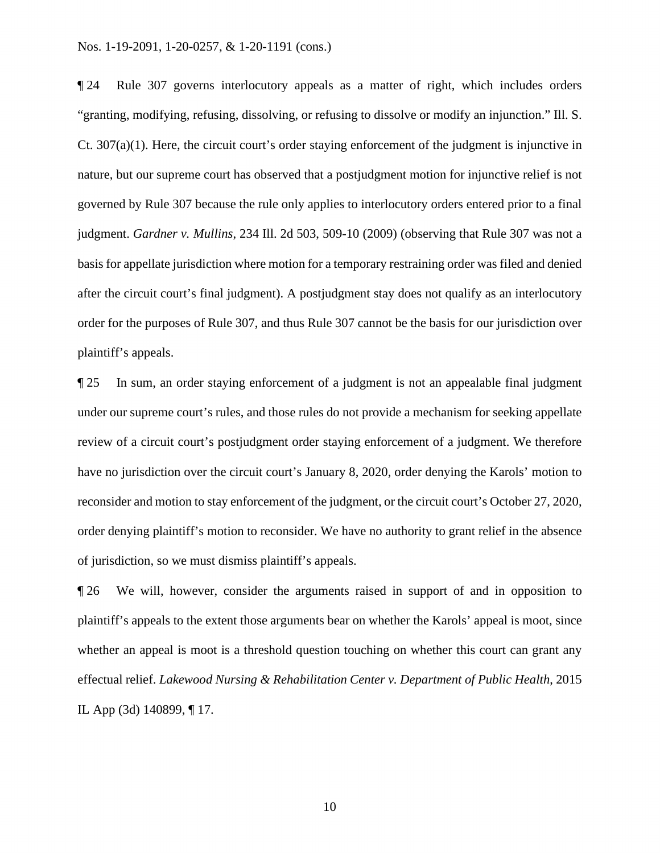nature, but our supreme court has observed that a postjudgment motion for injunctive relief is not ¶ 24 Rule 307 governs interlocutory appeals as a matter of right, which includes orders "granting, modifying, refusing, dissolving, or refusing to dissolve or modify an injunction." Ill. S. Ct. 307(a)(1). Here, the circuit court's order staying enforcement of the judgment is injunctive in governed by Rule 307 because the rule only applies to interlocutory orders entered prior to a final judgment. *Gardner v. Mullins*, 234 Ill. 2d 503, 509-10 (2009) (observing that Rule 307 was not a basis for appellate jurisdiction where motion for a temporary restraining order was filed and denied after the circuit court's final judgment). A postjudgment stay does not qualify as an interlocutory order for the purposes of Rule 307, and thus Rule 307 cannot be the basis for our jurisdiction over plaintiff's appeals.

 ¶ 25 In sum, an order staying enforcement of a judgment is not an appealable final judgment under our supreme court's rules, and those rules do not provide a mechanism for seeking appellate review of a circuit court's postjudgment order staying enforcement of a judgment. We therefore have no jurisdiction over the circuit court's January 8, 2020, order denying the Karols' motion to reconsider and motion to stay enforcement of the judgment, or the circuit court's October 27, 2020, order denying plaintiff's motion to reconsider. We have no authority to grant relief in the absence of jurisdiction, so we must dismiss plaintiff's appeals.

¶ 26 We will, however, consider the arguments raised in support of and in opposition to plaintiff's appeals to the extent those arguments bear on whether the Karols' appeal is moot, since whether an appeal is moot is a threshold question touching on whether this court can grant any effectual relief. *Lakewood Nursing & Rehabilitation Center v. Department of Public Health*, 2015 IL App (3d) 140899, ¶ 17.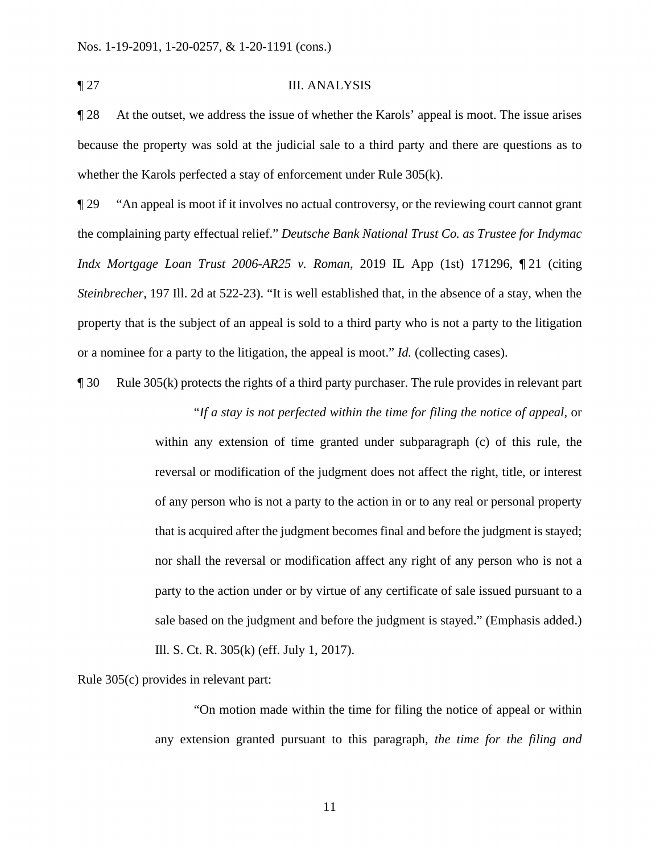#### ¶ 27 III. ANALYSIS

**The 28** At the outset, we address the issue of whether the Karols' appeal is moot. The issue arises because the property was sold at the judicial sale to a third party and there are questions as to whether the Karols perfected a stay of enforcement under Rule 305(k).

 or a nominee for a party to the litigation, the appeal is moot." *Id.* (collecting cases). ¶ 29 "An appeal is moot if it involves no actual controversy, or the reviewing court cannot grant the complaining party effectual relief." *Deutsche Bank National Trust Co. as Trustee for Indymac Indx Mortgage Loan Trust 2006-AR25 v. Roman*, 2019 IL App (1st) 171296, ¶ 21 (citing *Steinbrecher*, 197 Ill. 2d at 522-23). "It is well established that, in the absence of a stay, when the property that is the subject of an appeal is sold to a third party who is not a party to the litigation

¶ 30 Rule 305(k) protects the rights of a third party purchaser. The rule provides in relevant part "*If a stay is not perfected within the time for filing the notice of appeal*, or

> within any extension of time granted under subparagraph (c) of this rule, the reversal or modification of the judgment does not affect the right, title, or interest of any person who is not a party to the action in or to any real or personal property that is acquired after the judgment becomes final and before the judgment is stayed; nor shall the reversal or modification affect any right of any person who is not a party to the action under or by virtue of any certificate of sale issued pursuant to a sale based on the judgment and before the judgment is stayed." (Emphasis added.) Ill. S. Ct. R. 305(k) (eff. July 1, 2017).

Rule 305(c) provides in relevant part:

"On motion made within the time for filing the notice of appeal or within any extension granted pursuant to this paragraph, *the time for the filing and*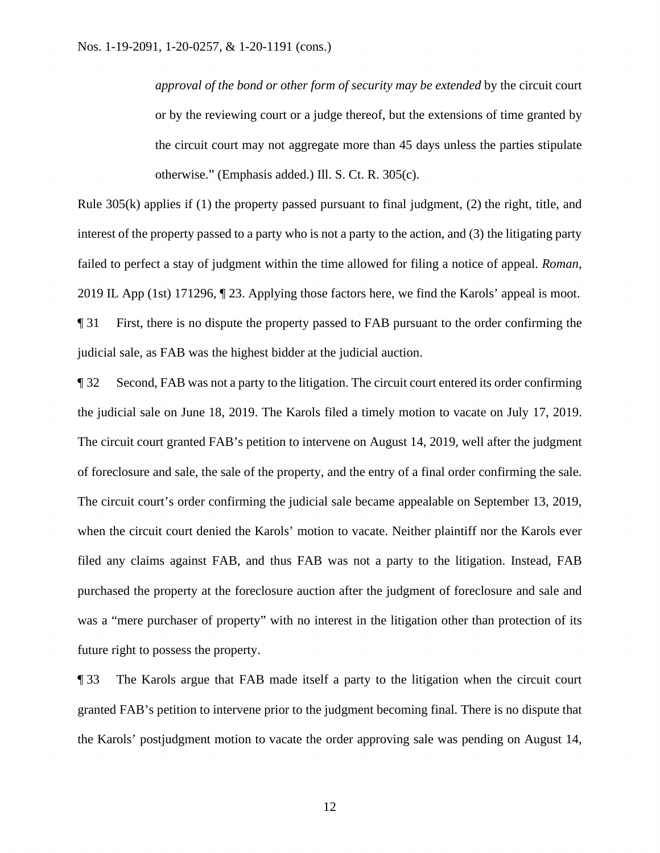*approval of the bond or other form of security may be extended* by the circuit court or by the reviewing court or a judge thereof, but the extensions of time granted by the circuit court may not aggregate more than 45 days unless the parties stipulate otherwise." (Emphasis added.) Ill. S. Ct. R. 305(c).

 Rule 305(k) applies if (1) the property passed pursuant to final judgment, (2) the right, title, and 2019 IL App (1st) 171296, ¶ 23. Applying those factors here, we find the Karols' appeal is moot. interest of the property passed to a party who is not a party to the action, and (3) the litigating party failed to perfect a stay of judgment within the time allowed for filing a notice of appeal. *Roman*, ¶ 31 First, there is no dispute the property passed to FAB pursuant to the order confirming the judicial sale, as FAB was the highest bidder at the judicial auction.

¶ 32 Second, FAB was not a party to the litigation. The circuit court entered its order confirming the judicial sale on June 18, 2019. The Karols filed a timely motion to vacate on July 17, 2019. The circuit court granted FAB's petition to intervene on August 14, 2019, well after the judgment of foreclosure and sale, the sale of the property, and the entry of a final order confirming the sale. The circuit court's order confirming the judicial sale became appealable on September 13, 2019, when the circuit court denied the Karols' motion to vacate. Neither plaintiff nor the Karols ever filed any claims against FAB, and thus FAB was not a party to the litigation. Instead, FAB purchased the property at the foreclosure auction after the judgment of foreclosure and sale and was a "mere purchaser of property" with no interest in the litigation other than protection of its future right to possess the property.

¶ 33 The Karols argue that FAB made itself a party to the litigation when the circuit court granted FAB's petition to intervene prior to the judgment becoming final. There is no dispute that the Karols' postjudgment motion to vacate the order approving sale was pending on August 14,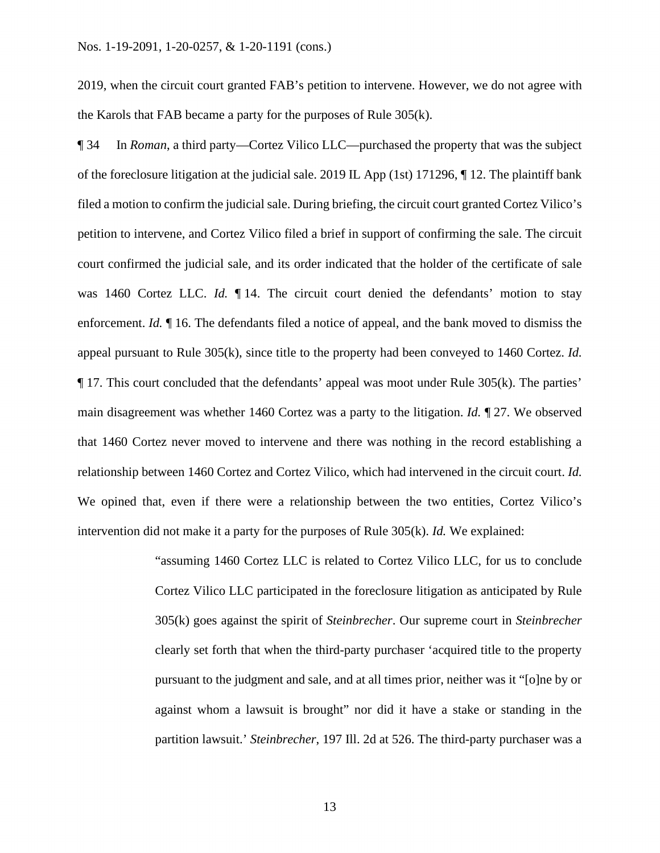2019, when the circuit court granted FAB's petition to intervene. However, we do not agree with the Karols that FAB became a party for the purposes of Rule 305(k).

 ¶ 34 In *Roman*, a third party—Cortez Vilico LLC—purchased the property that was the subject main disagreement was whether 1460 Cortez was a party to the litigation. *Id.* ¶ 27. We observed of the foreclosure litigation at the judicial sale. 2019 IL App (1st) 171296, ¶ 12. The plaintiff bank filed a motion to confirm the judicial sale. During briefing, the circuit court granted Cortez Vilico's petition to intervene, and Cortez Vilico filed a brief in support of confirming the sale. The circuit court confirmed the judicial sale, and its order indicated that the holder of the certificate of sale was 1460 Cortez LLC. *Id.* 14. The circuit court denied the defendants' motion to stay enforcement. *Id.* ¶ 16. The defendants filed a notice of appeal, and the bank moved to dismiss the appeal pursuant to Rule 305(k), since title to the property had been conveyed to 1460 Cortez. *Id.*  ¶ 17. This court concluded that the defendants' appeal was moot under Rule 305(k). The parties' that 1460 Cortez never moved to intervene and there was nothing in the record establishing a relationship between 1460 Cortez and Cortez Vilico, which had intervened in the circuit court. *Id.*  We opined that, even if there were a relationship between the two entities, Cortez Vilico's intervention did not make it a party for the purposes of Rule 305(k). *Id.* We explained:

> Cortez Vilico LLC participated in the foreclosure litigation as anticipated by Rule pursuant to the judgment and sale, and at all times prior, neither was it "[o]ne by or "assuming 1460 Cortez LLC is related to Cortez Vilico LLC, for us to conclude 305(k) goes against the spirit of *Steinbrecher*. Our supreme court in *Steinbrecher*  clearly set forth that when the third-party purchaser 'acquired title to the property against whom a lawsuit is brought" nor did it have a stake or standing in the partition lawsuit.' *Steinbrecher*, 197 Ill. 2d at 526. The third-party purchaser was a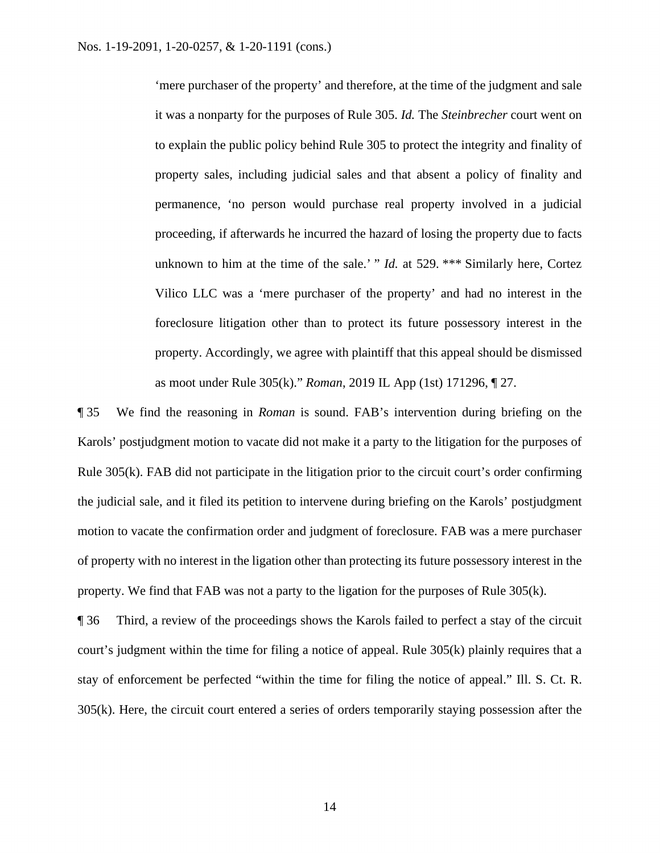it was a nonparty for the purposes of Rule 305. *Id.* The *Steinbrecher* court went on proceeding, if afterwards he incurred the hazard of losing the property due to facts unknown to him at the time of the sale.' " *Id.* at 529. \*\*\* Similarly here, Cortez 'mere purchaser of the property' and therefore, at the time of the judgment and sale to explain the public policy behind Rule 305 to protect the integrity and finality of property sales, including judicial sales and that absent a policy of finality and permanence, 'no person would purchase real property involved in a judicial Vilico LLC was a 'mere purchaser of the property' and had no interest in the foreclosure litigation other than to protect its future possessory interest in the property. Accordingly, we agree with plaintiff that this appeal should be dismissed as moot under Rule 305(k)." *Roman*, 2019 IL App (1st) 171296, ¶ 27.

 ¶ 35 We find the reasoning in *Roman* is sound. FAB's intervention during briefing on the Karols' postjudgment motion to vacate did not make it a party to the litigation for the purposes of Rule 305(k). FAB did not participate in the litigation prior to the circuit court's order confirming the judicial sale, and it filed its petition to intervene during briefing on the Karols' postjudgment motion to vacate the confirmation order and judgment of foreclosure. FAB was a mere purchaser of property with no interest in the ligation other than protecting its future possessory interest in the property. We find that FAB was not a party to the ligation for the purposes of Rule 305(k).

 305(k). Here, the circuit court entered a series of orders temporarily staying possession after the ¶ 36 Third, a review of the proceedings shows the Karols failed to perfect a stay of the circuit court's judgment within the time for filing a notice of appeal. Rule 305(k) plainly requires that a stay of enforcement be perfected "within the time for filing the notice of appeal." Ill. S. Ct. R.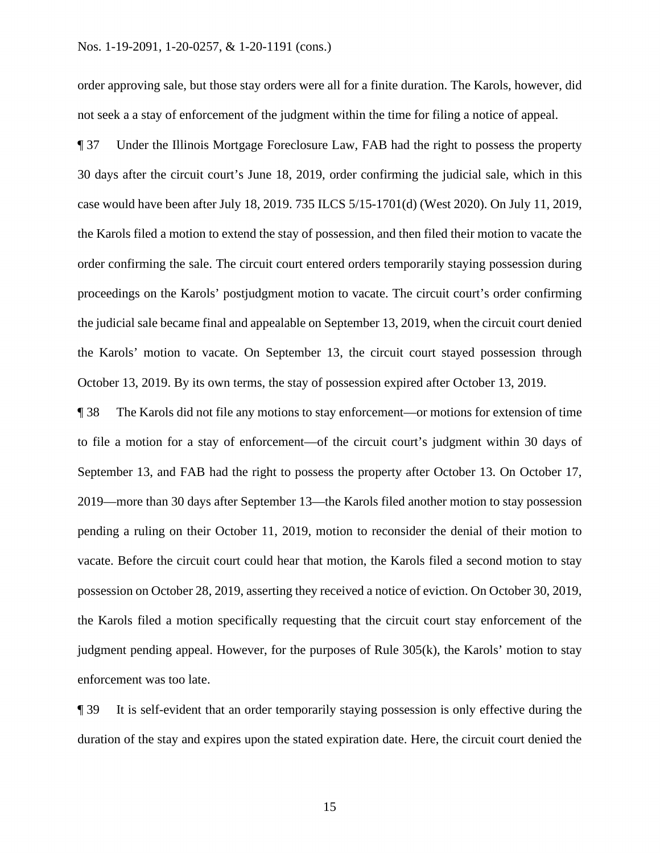#### Nos. 1-19-2091, 1-20-0257, & 1-20-1191 (cons.)

order approving sale, but those stay orders were all for a finite duration. The Karols, however, did not seek a a stay of enforcement of the judgment within the time for filing a notice of appeal.

¶ 37 Under the Illinois Mortgage Foreclosure Law, FAB had the right to possess the property 30 days after the circuit court's June 18, 2019, order confirming the judicial sale, which in this case would have been after July 18, 2019. 735 ILCS 5/15-1701(d) (West 2020). On July 11, 2019, the Karols filed a motion to extend the stay of possession, and then filed their motion to vacate the order confirming the sale. The circuit court entered orders temporarily staying possession during proceedings on the Karols' postjudgment motion to vacate. The circuit court's order confirming the judicial sale became final and appealable on September 13, 2019, when the circuit court denied the Karols' motion to vacate. On September 13, the circuit court stayed possession through October 13, 2019. By its own terms, the stay of possession expired after October 13, 2019.

¶ 38 The Karols did not file any motions to stay enforcement—or motions for extension of time to file a motion for a stay of enforcement—of the circuit court's judgment within 30 days of September 13, and FAB had the right to possess the property after October 13. On October 17, 2019—more than 30 days after September 13—the Karols filed another motion to stay possession pending a ruling on their October 11, 2019, motion to reconsider the denial of their motion to vacate. Before the circuit court could hear that motion, the Karols filed a second motion to stay possession on October 28, 2019, asserting they received a notice of eviction. On October 30, 2019, the Karols filed a motion specifically requesting that the circuit court stay enforcement of the judgment pending appeal. However, for the purposes of Rule 305(k), the Karols' motion to stay enforcement was too late.

 ¶ 39 It is self-evident that an order temporarily staying possession is only effective during the duration of the stay and expires upon the stated expiration date. Here, the circuit court denied the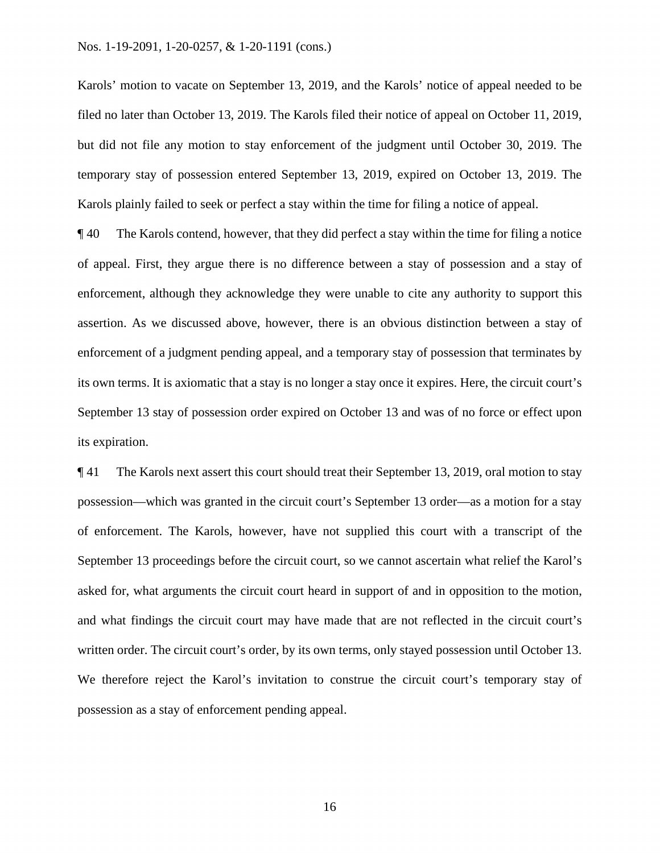#### Nos. 1-19-2091, 1-20-0257, & 1-20-1191 (cons.)

Karols' motion to vacate on September 13, 2019, and the Karols' notice of appeal needed to be filed no later than October 13, 2019. The Karols filed their notice of appeal on October 11, 2019, but did not file any motion to stay enforcement of the judgment until October 30, 2019. The temporary stay of possession entered September 13, 2019, expired on October 13, 2019. The Karols plainly failed to seek or perfect a stay within the time for filing a notice of appeal.

 September 13 stay of possession order expired on October 13 and was of no force or effect upon ¶ 40 The Karols contend, however, that they did perfect a stay within the time for filing a notice of appeal. First, they argue there is no difference between a stay of possession and a stay of enforcement, although they acknowledge they were unable to cite any authority to support this assertion. As we discussed above, however, there is an obvious distinction between a stay of enforcement of a judgment pending appeal, and a temporary stay of possession that terminates by its own terms. It is axiomatic that a stay is no longer a stay once it expires. Here, the circuit court's its expiration.

 September 13 proceedings before the circuit court, so we cannot ascertain what relief the Karol's ¶ 41 The Karols next assert this court should treat their September 13, 2019, oral motion to stay possession—which was granted in the circuit court's September 13 order—as a motion for a stay of enforcement. The Karols, however, have not supplied this court with a transcript of the asked for, what arguments the circuit court heard in support of and in opposition to the motion, and what findings the circuit court may have made that are not reflected in the circuit court's written order. The circuit court's order, by its own terms, only stayed possession until October 13. We therefore reject the Karol's invitation to construe the circuit court's temporary stay of possession as a stay of enforcement pending appeal.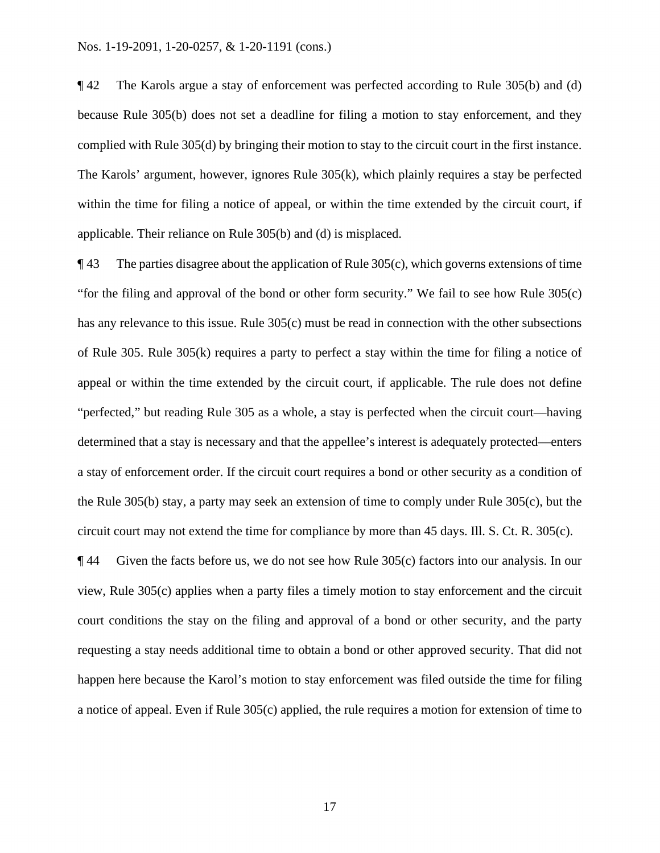within the time for filing a notice of appeal, or within the time extended by the circuit court, if applicable. Their reliance on Rule 305(b) and (d) is misplaced. ¶ 42 The Karols argue a stay of enforcement was perfected according to Rule 305(b) and (d) because Rule 305(b) does not set a deadline for filing a motion to stay enforcement, and they complied with Rule 305(d) by bringing their motion to stay to the circuit court in the first instance. The Karols' argument, however, ignores Rule 305(k), which plainly requires a stay be perfected

 $\P$ 43 The parties disagree about the application of Rule 305(c), which governs extensions of time "for the filing and approval of the bond or other form security." We fail to see how Rule 305(c) has any relevance to this issue. Rule 305(c) must be read in connection with the other subsections of Rule 305. Rule 305(k) requires a party to perfect a stay within the time for filing a notice of appeal or within the time extended by the circuit court, if applicable. The rule does not define "perfected," but reading Rule 305 as a whole, a stay is perfected when the circuit court—having determined that a stay is necessary and that the appellee's interest is adequately protected—enters a stay of enforcement order. If the circuit court requires a bond or other security as a condition of the Rule 305(b) stay, a party may seek an extension of time to comply under Rule 305(c), but the circuit court may not extend the time for compliance by more than 45 days. Ill. S. Ct. R. 305(c).

¶ 44 Given the facts before us, we do not see how Rule 305(c) factors into our analysis. In our view, Rule 305(c) applies when a party files a timely motion to stay enforcement and the circuit court conditions the stay on the filing and approval of a bond or other security, and the party requesting a stay needs additional time to obtain a bond or other approved security. That did not happen here because the Karol's motion to stay enforcement was filed outside the time for filing a notice of appeal. Even if Rule 305(c) applied, the rule requires a motion for extension of time to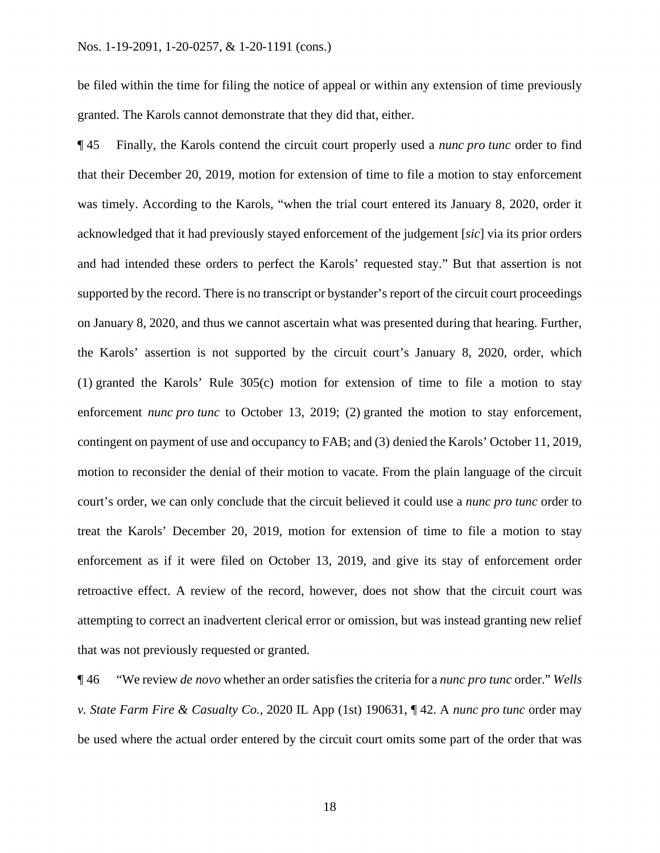be filed within the time for filing the notice of appeal or within any extension of time previously granted. The Karols cannot demonstrate that they did that, either.

 was timely. According to the Karols, "when the trial court entered its January 8, 2020, order it acknowledged that it had previously stayed enforcement of the judgement [*sic*] via its prior orders and had intended these orders to perfect the Karols' requested stay." But that assertion is not on January 8, 2020, and thus we cannot ascertain what was presented during that hearing. Further, court's order, we can only conclude that the circuit believed it could use a *nunc pro tunc* order to ¶ 45 Finally, the Karols contend the circuit court properly used a *nunc pro tunc* order to find that their December 20, 2019, motion for extension of time to file a motion to stay enforcement supported by the record. There is no transcript or bystander's report of the circuit court proceedings the Karols' assertion is not supported by the circuit court's January 8, 2020, order, which (1) granted the Karols' Rule 305(c) motion for extension of time to file a motion to stay enforcement *nunc pro tunc* to October 13, 2019; (2) granted the motion to stay enforcement, contingent on payment of use and occupancy to FAB; and (3) denied the Karols' October 11, 2019, motion to reconsider the denial of their motion to vacate. From the plain language of the circuit treat the Karols' December 20, 2019, motion for extension of time to file a motion to stay enforcement as if it were filed on October 13, 2019, and give its stay of enforcement order retroactive effect. A review of the record, however, does not show that the circuit court was attempting to correct an inadvertent clerical error or omission, but was instead granting new relief that was not previously requested or granted.

¶ 46 "We review *de novo* whether an order satisfies the criteria for a *nunc pro tunc* order." *Wells v. State Farm Fire & Casualty Co.*, 2020 IL App (1st) 190631, ¶ 42. A *nunc pro tunc* order may be used where the actual order entered by the circuit court omits some part of the order that was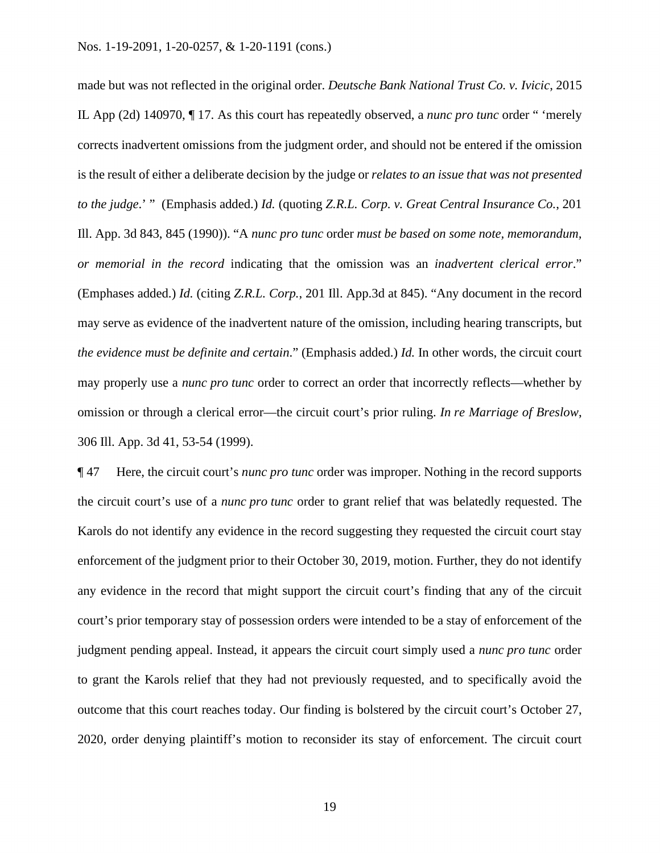IL App (2d) 140970, ¶ 17. As this court has repeatedly observed, a *nunc pro tunc* order " 'merely *to the judge*.' " (Emphasis added.) *Id.* (quoting *Z.R.L. Corp. v. Great Central Insurance Co.*, 201 *the evidence must be definite and certain*." (Emphasis added.) *Id.* In other words, the circuit court made but was not reflected in the original order. *Deutsche Bank National Trust Co. v. Ivicic*, 2015 corrects inadvertent omissions from the judgment order, and should not be entered if the omission is the result of either a deliberate decision by the judge or *relates to an issue that was not presented*  Ill. App. 3d 843, 845 (1990)). "A *nunc pro tunc* order *must be based on some note, memorandum, or memorial in the record* indicating that the omission was an *inadvertent clerical error*." (Emphases added.) *Id.* (citing *Z.R.L. Corp.*, 201 Ill. App.3d at 845). "Any document in the record may serve as evidence of the inadvertent nature of the omission, including hearing transcripts, but may properly use a *nunc pro tunc* order to correct an order that incorrectly reflects—whether by omission or through a clerical error—the circuit court's prior ruling. *In re Marriage of Breslow*, 306 Ill. App. 3d 41, 53-54 (1999).

 the circuit court's use of a *nunc pro tunc* order to grant relief that was belatedly requested. The ¶ 47 Here, the circuit court's *nunc pro tunc* order was improper. Nothing in the record supports Karols do not identify any evidence in the record suggesting they requested the circuit court stay enforcement of the judgment prior to their October 30, 2019, motion. Further, they do not identify any evidence in the record that might support the circuit court's finding that any of the circuit court's prior temporary stay of possession orders were intended to be a stay of enforcement of the judgment pending appeal. Instead, it appears the circuit court simply used a *nunc pro tunc* order to grant the Karols relief that they had not previously requested, and to specifically avoid the outcome that this court reaches today. Our finding is bolstered by the circuit court's October 27, 2020, order denying plaintiff's motion to reconsider its stay of enforcement. The circuit court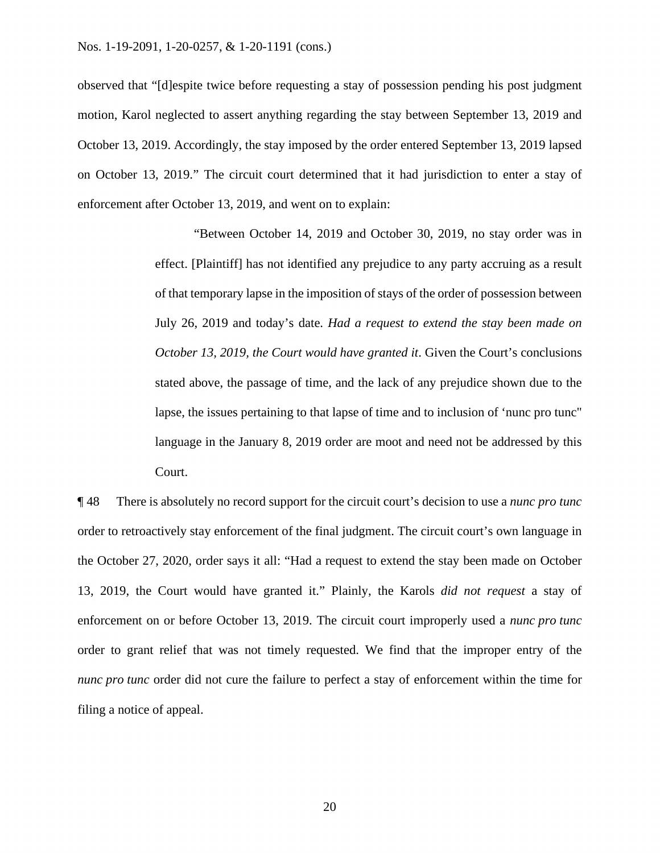observed that "[d]espite twice before requesting a stay of possession pending his post judgment motion, Karol neglected to assert anything regarding the stay between September 13, 2019 and October 13, 2019. Accordingly, the stay imposed by the order entered September 13, 2019 lapsed on October 13, 2019." The circuit court determined that it had jurisdiction to enter a stay of enforcement after October 13, 2019, and went on to explain:

> "Between October 14, 2019 and October 30, 2019, no stay order was in effect. [Plaintiff] has not identified any prejudice to any party accruing as a result of that temporary lapse in the imposition of stays of the order of possession between July 26, 2019 and today's date. *Had a request to extend the stay been made on October 13, 2019, the Court would have granted it. Given the Court's conclusions* stated above, the passage of time, and the lack of any prejudice shown due to the lapse, the issues pertaining to that lapse of time and to inclusion of 'nunc pro tunc" language in the January 8, 2019 order are moot and need not be addressed by this Court.

 *nunc pro tunc* order did not cure the failure to perfect a stay of enforcement within the time for ¶ 48 There is absolutely no record support for the circuit court's decision to use a *nunc pro tunc*  order to retroactively stay enforcement of the final judgment. The circuit court's own language in the October 27, 2020, order says it all: "Had a request to extend the stay been made on October 13, 2019, the Court would have granted it." Plainly, the Karols *did not request* a stay of enforcement on or before October 13, 2019. The circuit court improperly used a *nunc pro tunc*  order to grant relief that was not timely requested. We find that the improper entry of the filing a notice of appeal.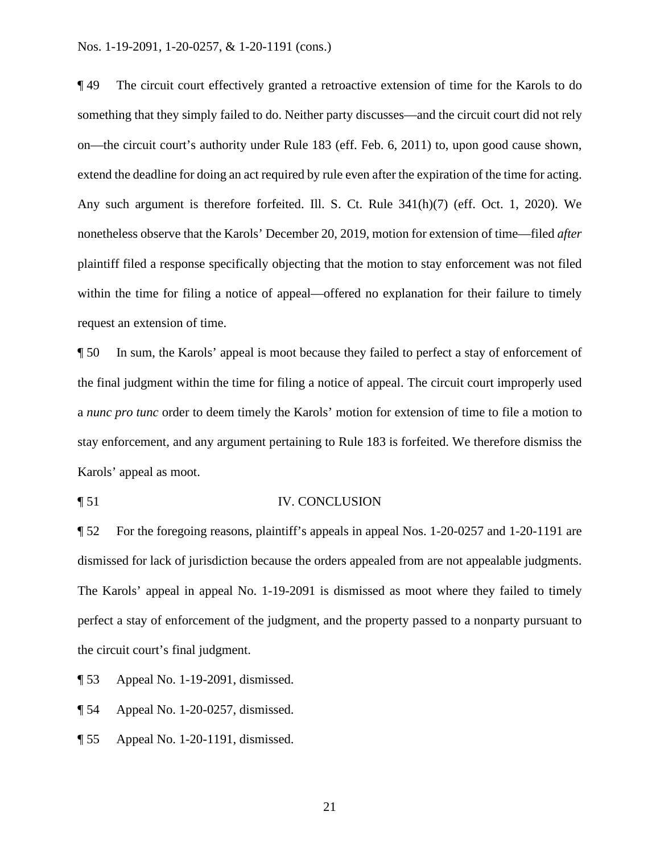#### Nos. 1-19-2091, 1-20-0257, & 1-20-1191 (cons.)

 extend the deadline for doing an act required by rule even after the expiration of the time for acting. ¶ 49 The circuit court effectively granted a retroactive extension of time for the Karols to do something that they simply failed to do. Neither party discusses—and the circuit court did not rely on—the circuit court's authority under Rule 183 (eff. Feb. 6, 2011) to, upon good cause shown, Any such argument is therefore forfeited. Ill. S. Ct. Rule 341(h)(7) (eff. Oct. 1, 2020). We nonetheless observe that the Karols' December 20, 2019, motion for extension of time—filed *after*  plaintiff filed a response specifically objecting that the motion to stay enforcement was not filed within the time for filing a notice of appeal—offered no explanation for their failure to timely request an extension of time.

¶ 50 In sum, the Karols' appeal is moot because they failed to perfect a stay of enforcement of the final judgment within the time for filing a notice of appeal. The circuit court improperly used a *nunc pro tunc* order to deem timely the Karols' motion for extension of time to file a motion to stay enforcement, and any argument pertaining to Rule 183 is forfeited. We therefore dismiss the Karols' appeal as moot.

¶ 51 IV. CONCLUSION

 ¶ 52 For the foregoing reasons, plaintiff's appeals in appeal Nos. 1-20-0257 and 1-20-1191 are dismissed for lack of jurisdiction because the orders appealed from are not appealable judgments. The Karols' appeal in appeal No. 1-19-2091 is dismissed as moot where they failed to timely perfect a stay of enforcement of the judgment, and the property passed to a nonparty pursuant to the circuit court's final judgment.

¶ 53 Appeal No. 1-19-2091, dismissed.

¶ 54 Appeal No. 1-20-0257, dismissed.

¶ 55 Appeal No. 1-20-1191, dismissed.